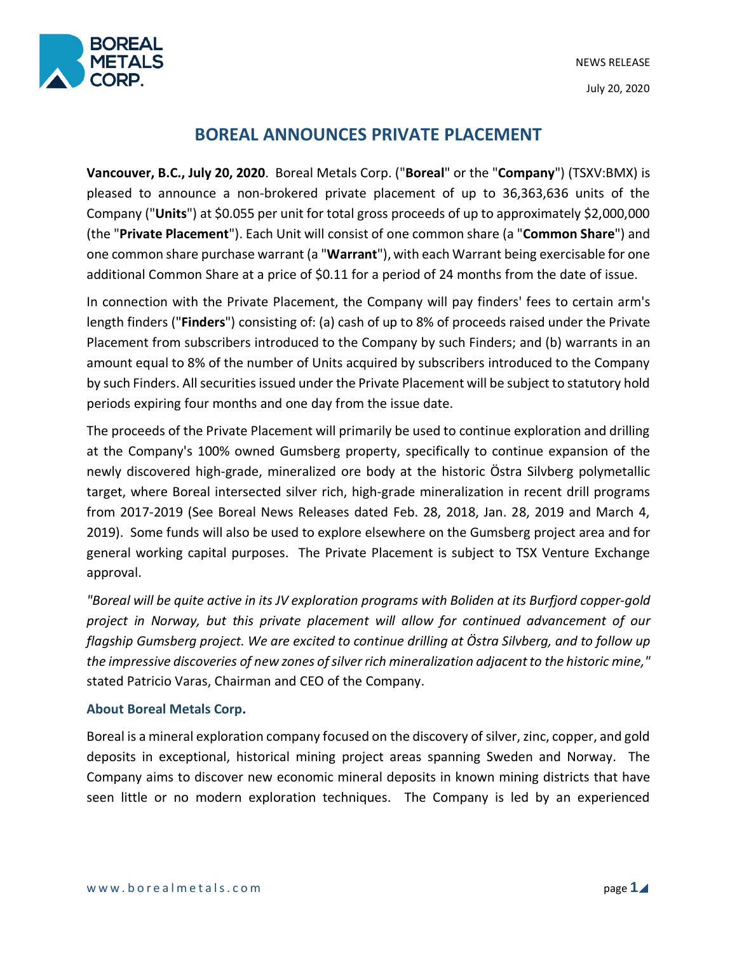NEWS RELEASE July 20, 2020



# **BOREAL ANNOUNCES PRIVATE PLACEMENT**

**Vancouver, B.C., July 20, 2020**. Boreal Metals Corp. ("**Boreal**" or the "**Company**") (TSXV:BMX) is pleased to announce a non-brokered private placement of up to 36,363,636 units of the Company ("**Units**") at \$0.055 per unit for total gross proceeds of up to approximately \$2,000,000 (the "**Private Placement**"). Each Unit will consist of one common share (a "**Common Share**") and one common share purchase warrant (a "**Warrant**"), with each Warrant being exercisable for one additional Common Share at a price of \$0.11 for a period of 24 months from the date of issue.

In connection with the Private Placement, the Company will pay finders' fees to certain arm's length finders ("**Finders**") consisting of: (a) cash of up to 8% of proceeds raised under the Private Placement from subscribers introduced to the Company by such Finders; and (b) warrants in an amount equal to 8% of the number of Units acquired by subscribers introduced to the Company by such Finders. All securities issued under the Private Placement will be subject to statutory hold periods expiring four months and one day from the issue date.

The proceeds of the Private Placement will primarily be used to continue exploration and drilling at the Company's 100% owned Gumsberg property, specifically to continue expansion of the newly discovered high-grade, mineralized ore body at the historic Östra Silvberg polymetallic target, where Boreal intersected silver rich, high-grade mineralization in recent drill programs from 2017-2019 (See Boreal News Releases dated Feb. 28, 2018, Jan. 28, 2019 and March 4, 2019). Some funds will also be used to explore elsewhere on the Gumsberg project area and for general working capital purposes. The Private Placement is subject to TSX Venture Exchange approval.

*"Boreal will be quite active in its JV exploration programs with Boliden at its Burfjord copper-gold project in Norway, but this private placement will allow for continued advancement of our flagship Gumsberg project. We are excited to continue drilling at Östra Silvberg, and to follow up the impressive discoveries of new zones ofsilver rich mineralization adjacentto the historic mine,"* stated Patricio Varas, Chairman and CEO of the Company.

# **About Boreal Metals Corp.**

Boreal is a mineral exploration company focused on the discovery of silver, zinc, copper, and gold deposits in exceptional, historical mining project areas spanning Sweden and Norway. The Company aims to discover new economic mineral deposits in known mining districts that have seen little or no modern exploration techniques. The Company is led by an experienced